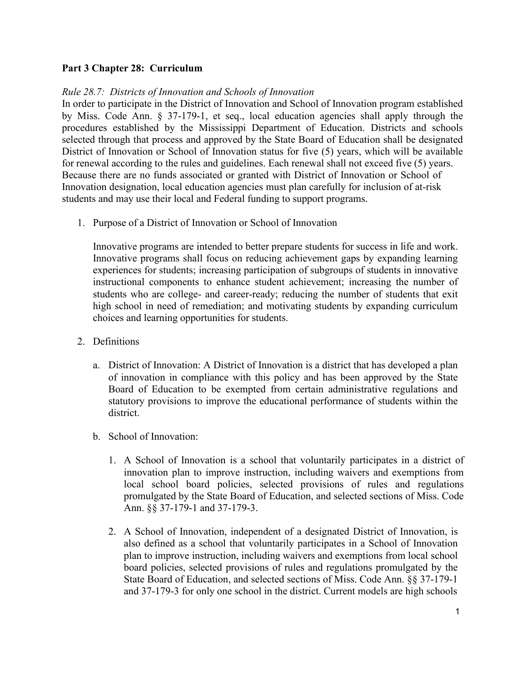## **Part 3 Chapter 28: Curriculum**

## *Rule 28.7: Districts of Innovation and Schools of Innovation*

In order to participate in the District of Innovation and School of Innovation program established by Miss. Code Ann. § 37-179-1, et seq., local education agencies shall apply through the procedures established by the Mississippi Department of Education. Districts and schools selected through that process and approved by the State Board of Education shall be designated District of Innovation or School of Innovation status for five (5) years, which will be available for renewal according to the rules and guidelines. Each renewal shall not exceed five (5) years. Because there are no funds associated or granted with District of Innovation or School of Innovation designation, local education agencies must plan carefully for inclusion of at-risk students and may use their local and Federal funding to support programs.

1. Purpose of a District of Innovation or School of Innovation

Innovative programs are intended to better prepare students for success in life and work. Innovative programs shall focus on reducing achievement gaps by expanding learning experiences for students; increasing participation of subgroups of students in innovative instructional components to enhance student achievement; increasing the number of students who are college- and career-ready; reducing the number of students that exit high school in need of remediation; and motivating students by expanding curriculum choices and learning opportunities for students.

- 2. Definitions
	- a. District of Innovation: A District of Innovation is a district that has developed a plan of innovation in compliance with this policy and has been approved by the State Board of Education to be exempted from certain administrative regulations and statutory provisions to improve the educational performance of students within the district.
	- b. School of Innovation:
		- 1. A School of Innovation is a school that voluntarily participates in a district of innovation plan to improve instruction, including waivers and exemptions from local school board policies, selected provisions of rules and regulations promulgated by the State Board of Education, and selected sections of Miss. Code Ann. §§ 37-179-1 and 37-179-3.
		- 2. A School of Innovation, independent of a designated District of Innovation, is also defined as a school that voluntarily participates in a School of Innovation plan to improve instruction, including waivers and exemptions from local school board policies, selected provisions of rules and regulations promulgated by the State Board of Education, and selected sections of Miss. Code Ann. §§ 37-179-1 and 37-179-3 for only one school in the district. Current models are high schools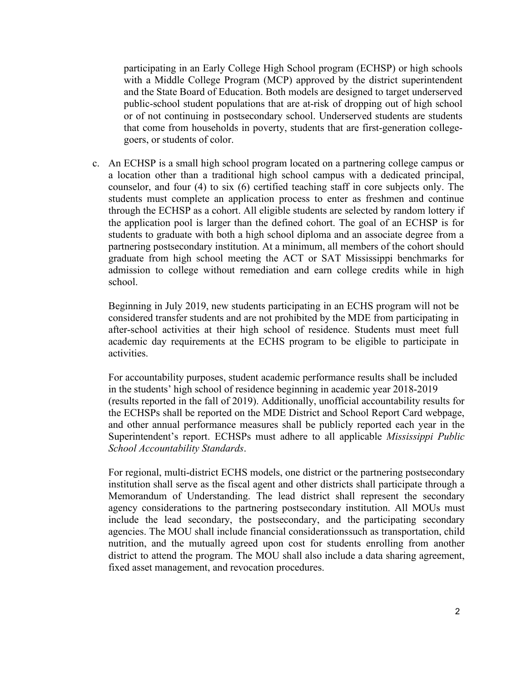participating in an Early College High School program (ECHSP) or high schools with a Middle College Program (MCP) approved by the district superintendent and the State Board of Education. Both models are designed to target underserved public-school student populations that are at-risk of dropping out of high school or of not continuing in postsecondary school. Underserved students are students that come from households in poverty, students that are first-generation collegegoers, or students of color.

c. An ECHSP is a small high school program located on a partnering college campus or a location other than a traditional high school campus with a dedicated principal, counselor, and four (4) to six (6) certified teaching staff in core subjects only. The students must complete an application process to enter as freshmen and continue through the ECHSP as a cohort. All eligible students are selected by random lottery if the application pool is larger than the defined cohort. The goal of an ECHSP is for students to graduate with both a high school diploma and an associate degree from a partnering postsecondary institution. At a minimum, all members of the cohort should graduate from high school meeting the ACT or SAT Mississippi benchmarks for admission to college without remediation and earn college credits while in high school.

Beginning in July 2019, new students participating in an ECHS program will not be considered transfer students and are not prohibited by the MDE from participating in after-school activities at their high school of residence. Students must meet full academic day requirements at the ECHS program to be eligible to participate in activities.

For accountability purposes, student academic performance results shall be included in the students' high school of residence beginning in academic year 2018-2019 (results reported in the fall of 2019). Additionally, unofficial accountability results for the ECHSPs shall be reported on the MDE District and School Report Card webpage, and other annual performance measures shall be publicly reported each year in the Superintendent's report. ECHSPs must adhere to all applicable *Mississippi Public School Accountability Standards*.

For regional, multi-district ECHS models, one district or the partnering postsecondary institution shall serve as the fiscal agent and other districts shall participate through a Memorandum of Understanding. The lead district shall represent the secondary agency considerations to the partnering postsecondary institution. All MOUs must include the lead secondary, the postsecondary, and the participating secondary agencies. The MOU shall include financial considerationssuch as transportation, child nutrition, and the mutually agreed upon cost for students enrolling from another district to attend the program. The MOU shall also include a data sharing agreement, fixed asset management, and revocation procedures.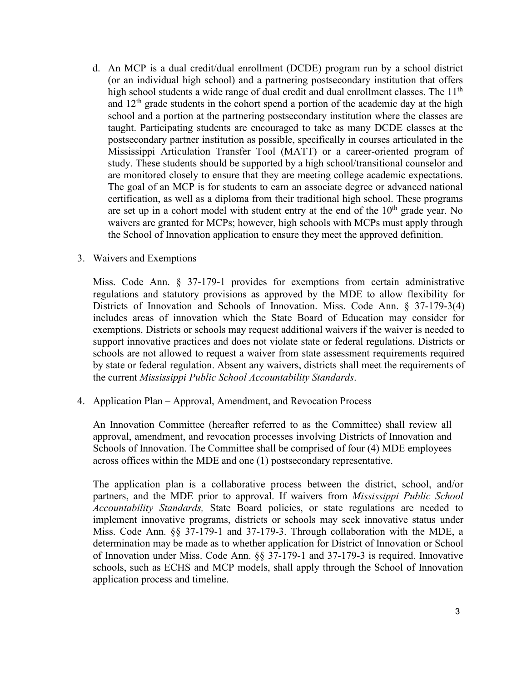d. An MCP is a dual credit/dual enrollment (DCDE) program run by a school district (or an individual high school) and a partnering postsecondary institution that offers high school students a wide range of dual credit and dual enrollment classes. The 11<sup>th</sup> and  $12<sup>th</sup>$  grade students in the cohort spend a portion of the academic day at the high school and a portion at the partnering postsecondary institution where the classes are taught. Participating students are encouraged to take as many DCDE classes at the postsecondary partner institution as possible, specifically in courses articulated in the Mississippi Articulation Transfer Tool (MATT) or a career-oriented program of study. These students should be supported by a high school/transitional counselor and are monitored closely to ensure that they are meeting college academic expectations. The goal of an MCP is for students to earn an associate degree or advanced national certification, as well as a diploma from their traditional high school. These programs are set up in a cohort model with student entry at the end of the  $10<sup>th</sup>$  grade year. No waivers are granted for MCPs; however, high schools with MCPs must apply through the School of Innovation application to ensure they meet the approved definition.

## 3. Waivers and Exemptions

Miss. Code Ann. § 37-179-1 provides for exemptions from certain administrative regulations and statutory provisions as approved by the MDE to allow flexibility for Districts of Innovation and Schools of Innovation. Miss. Code Ann. § 37-179-3(4) includes areas of innovation which the State Board of Education may consider for exemptions. Districts or schools may request additional waivers if the waiver is needed to support innovative practices and does not violate state or federal regulations. Districts or schools are not allowed to request a waiver from state assessment requirements required by state or federal regulation. Absent any waivers, districts shall meet the requirements of the current *Mississippi Public School Accountability Standards*.

4. Application Plan – Approval, Amendment, and Revocation Process

An Innovation Committee (hereafter referred to as the Committee) shall review all approval, amendment, and revocation processes involving Districts of Innovation and Schools of Innovation. The Committee shall be comprised of four (4) MDE employees across offices within the MDE and one (1) postsecondary representative.

The application plan is a collaborative process between the district, school, and/or partners, and the MDE prior to approval. If waivers from *Mississippi Public School Accountability Standards,* State Board policies, or state regulations are needed to implement innovative programs, districts or schools may seek innovative status under Miss. Code Ann. §§ 37-179-1 and 37-179-3. Through collaboration with the MDE, a determination may be made as to whether application for District of Innovation or School of Innovation under Miss. Code Ann. §§ 37-179-1 and 37-179-3 is required. Innovative schools, such as ECHS and MCP models, shall apply through the School of Innovation application process and timeline.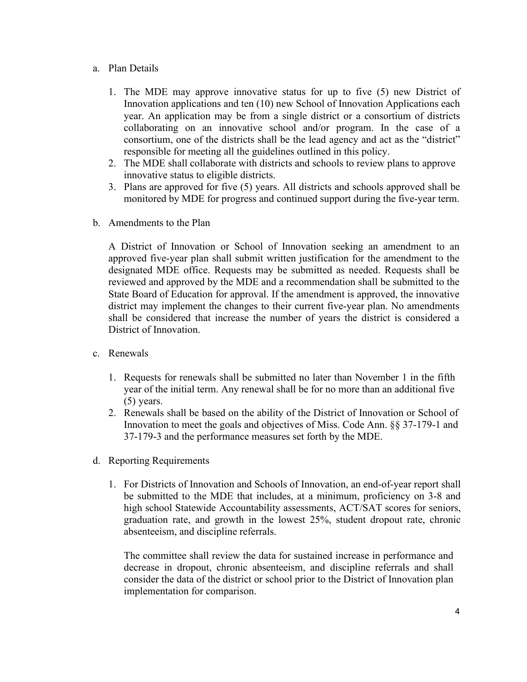- a. Plan Details
	- 1. The MDE may approve innovative status for up to five (5) new District of Innovation applications and ten (10) new School of Innovation Applications each year. An application may be from a single district or a consortium of districts collaborating on an innovative school and/or program. In the case of a consortium, one of the districts shall be the lead agency and act as the "district" responsible for meeting all the guidelines outlined in this policy.
	- 2. The MDE shall collaborate with districts and schools to review plans to approve innovative status to eligible districts.
	- 3. Plans are approved for five (5) years. All districts and schools approved shall be monitored by MDE for progress and continued support during the five-year term.
- b. Amendments to the Plan

A District of Innovation or School of Innovation seeking an amendment to an approved five-year plan shall submit written justification for the amendment to the designated MDE office. Requests may be submitted as needed. Requests shall be reviewed and approved by the MDE and a recommendation shall be submitted to the State Board of Education for approval. If the amendment is approved, the innovative district may implement the changes to their current five-year plan. No amendments shall be considered that increase the number of years the district is considered a District of Innovation.

- c. Renewals
	- 1. Requests for renewals shall be submitted no later than November 1 in the fifth year of the initial term. Any renewal shall be for no more than an additional five (5) years.
	- 2. Renewals shall be based on the ability of the District of Innovation or School of Innovation to meet the goals and objectives of Miss. Code Ann. §§ 37-179-1 and 37-179-3 and the performance measures set forth by the MDE.
- d. Reporting Requirements
	- 1. For Districts of Innovation and Schools of Innovation, an end-of-year report shall be submitted to the MDE that includes, at a minimum, proficiency on 3-8 and high school Statewide Accountability assessments, ACT/SAT scores for seniors, graduation rate, and growth in the lowest 25%, student dropout rate, chronic absenteeism, and discipline referrals.

The committee shall review the data for sustained increase in performance and decrease in dropout, chronic absenteeism, and discipline referrals and shall consider the data of the district or school prior to the District of Innovation plan implementation for comparison.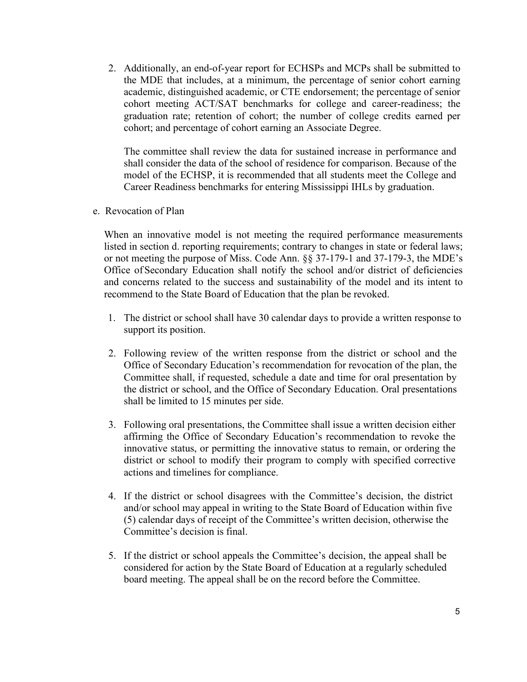2. Additionally, an end-of-year report for ECHSPs and MCPs shall be submitted to the MDE that includes, at a minimum, the percentage of senior cohort earning academic, distinguished academic, or CTE endorsement; the percentage of senior cohort meeting ACT/SAT benchmarks for college and career-readiness; the graduation rate; retention of cohort; the number of college credits earned per cohort; and percentage of cohort earning an Associate Degree.

The committee shall review the data for sustained increase in performance and shall consider the data of the school of residence for comparison. Because of the model of the ECHSP, it is recommended that all students meet the College and Career Readiness benchmarks for entering Mississippi IHLs by graduation.

e. Revocation of Plan

When an innovative model is not meeting the required performance measurements listed in section d. reporting requirements; contrary to changes in state or federal laws; or not meeting the purpose of Miss. Code Ann. §§ 37-179-1 and 37-179-3, the MDE's Office of Secondary Education shall notify the school and/or district of deficiencies and concerns related to the success and sustainability of the model and its intent to recommend to the State Board of Education that the plan be revoked.

- 1. The district or school shall have 30 calendar days to provide a written response to support its position.
- 2. Following review of the written response from the district or school and the Office of Secondary Education's recommendation for revocation of the plan, the Committee shall, if requested, schedule a date and time for oral presentation by the district or school, and the Office of Secondary Education. Oral presentations shall be limited to 15 minutes per side.
- 3. Following oral presentations, the Committee shall issue a written decision either affirming the Office of Secondary Education's recommendation to revoke the innovative status, or permitting the innovative status to remain, or ordering the district or school to modify their program to comply with specified corrective actions and timelines for compliance.
- 4. If the district or school disagrees with the Committee's decision, the district and/or school may appeal in writing to the State Board of Education within five (5) calendar days of receipt of the Committee's written decision, otherwise the Committee's decision is final.
- 5. If the district or school appeals the Committee's decision, the appeal shall be considered for action by the State Board of Education at a regularly scheduled board meeting. The appeal shall be on the record before the Committee.